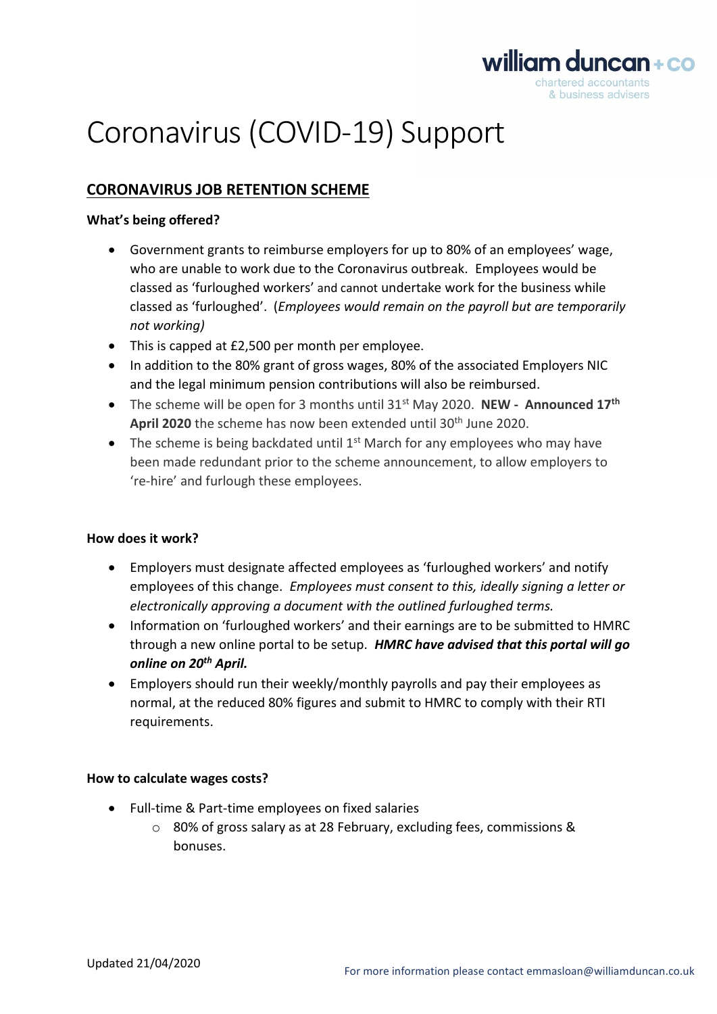

# Coronavirus (COVID-19) Support

# **CORONAVIRUS JOB RETENTION SCHEME**

## **What's being offered?**

- Government grants to reimburse employers for up to 80% of an employees' wage, who are unable to work due to the Coronavirus outbreak. Employees would be classed as 'furloughed workers' and cannot undertake work for the business while classed as 'furloughed'. (*Employees would remain on the payroll but are temporarily not working)*
- This is capped at £2,500 per month per employee.
- In addition to the 80% grant of gross wages, 80% of the associated Employers NIC and the legal minimum pension contributions will also be reimbursed.
- The scheme will be open for 3 months until 31st May 2020. **NEW - Announced 17th** April 2020 the scheme has now been extended until 30<sup>th</sup> June 2020.
- The scheme is being backdated until  $1<sup>st</sup>$  March for any employees who may have been made redundant prior to the scheme announcement, to allow employers to 're-hire' and furlough these employees.

## **How does it work?**

- Employers must designate affected employees as 'furloughed workers' and notify employees of this change. *Employees must consent to this, ideally signing a letter or electronically approving a document with the outlined furloughed terms.*
- Information on 'furloughed workers' and their earnings are to be submitted to HMRC through a new online portal to be setup. *HMRC have advised that this portal will go online on 20th April.*
- Employers should run their weekly/monthly payrolls and pay their employees as normal, at the reduced 80% figures and submit to HMRC to comply with their RTI requirements.

## **How to calculate wages costs?**

- Full-time & Part-time employees on fixed salaries
	- o 80% of gross salary as at 28 February, excluding fees, commissions & bonuses.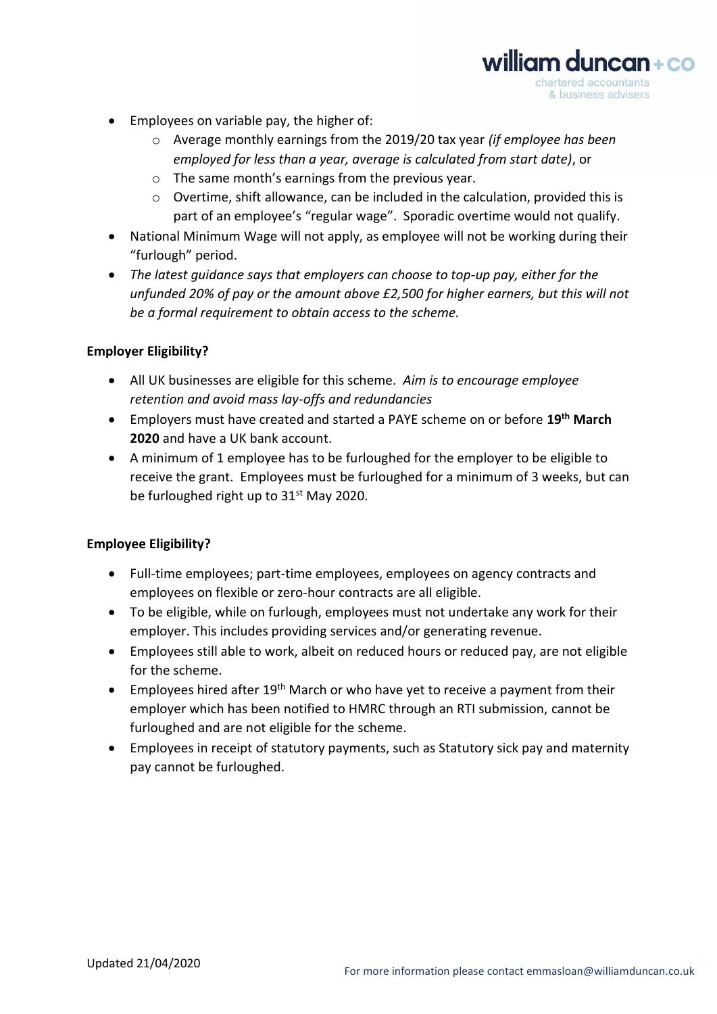- Employees on variable pay, the higher of:
	- o Average monthly earnings from the 2019/20 tax year *(if employee has been employed for less than a year, average is calculated from start date)*, or

william duncan+co chartered accountants & business advisers

- o The same month's earnings from the previous year.
- o Overtime, shift allowance, can be included in the calculation, provided this is part of an employee's "regular wage". Sporadic overtime would not qualify.
- National Minimum Wage will not apply, as employee will not be working during their "furlough" period.
- *The latest guidance says that employers can choose to top-up pay, either for the unfunded 20% of pay or the amount above £2,500 for higher earners, but this will not be a formal requirement to obtain access to the scheme.*

# **Employer Eligibility?**

- All UK businesses are eligible for this scheme. *Aim is to encourage employee retention and avoid mass lay-offs and redundancies*
- Employers must have created and started a PAYE scheme on or before **19th March 2020** and have a UK bank account.
- A minimum of 1 employee has to be furloughed for the employer to be eligible to receive the grant. Employees must be furloughed for a minimum of 3 weeks, but can be furloughed right up to 31<sup>st</sup> May 2020.

# **Employee Eligibility?**

- Full-time employees; part-time employees, employees on agency contracts and employees on flexible or zero-hour contracts are all eligible.
- To be eligible, while on furlough, employees must not undertake any work for their employer. This includes providing services and/or generating revenue.
- Employees still able to work, albeit on reduced hours or reduced pay, are not eligible for the scheme.
- Employees hired after  $19<sup>th</sup>$  March or who have yet to receive a payment from their employer which has been notified to HMRC through an RTI submission, cannot be furloughed and are not eligible for the scheme.
- Employees in receipt of statutory payments, such as Statutory sick pay and maternity pay cannot be furloughed.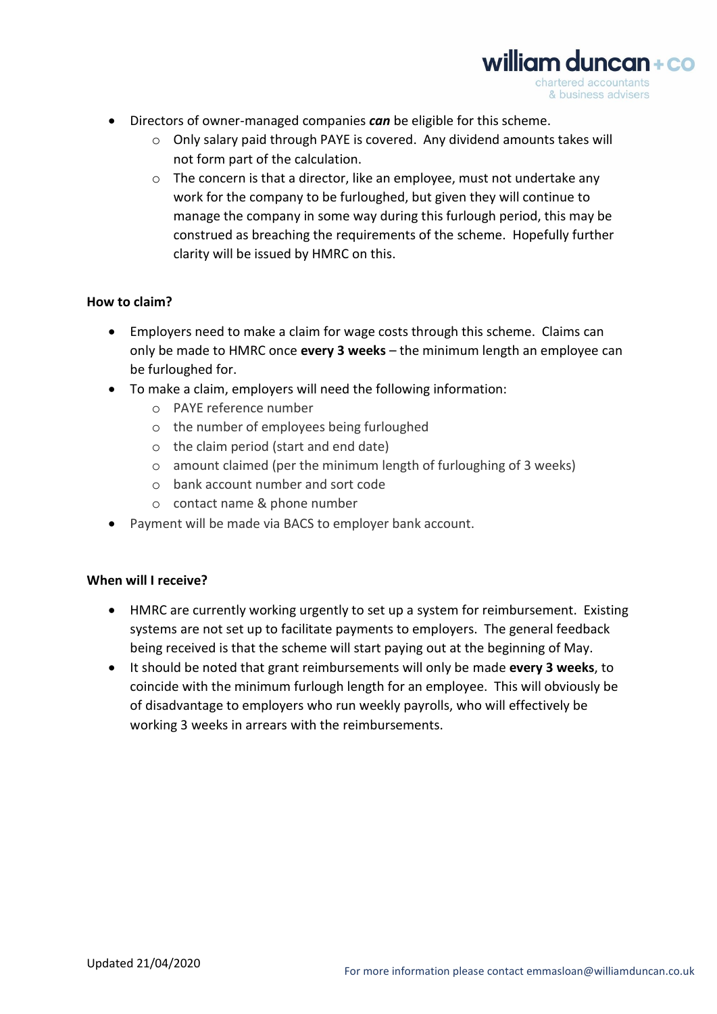

 $\circ$  Only salary paid through PAYE is covered. Any dividend amounts takes will not form part of the calculation.

william duncan + co chartered accountants & business advisers

o The concern is that a director, like an employee, must not undertake any work for the company to be furloughed, but given they will continue to manage the company in some way during this furlough period, this may be construed as breaching the requirements of the scheme. Hopefully further clarity will be issued by HMRC on this.

# **How to claim?**

- Employers need to make a claim for wage costs through this scheme. Claims can only be made to HMRC once **every 3 weeks** – the minimum length an employee can be furloughed for.
- To make a claim, employers will need the following information:
	- o PAYE reference number
	- o the number of employees being furloughed
	- o the claim period (start and end date)
	- o amount claimed (per the minimum length of furloughing of 3 weeks)
	- o bank account number and sort code
	- o contact name & phone number
- Payment will be made via BACS to employer bank account.

# **When will I receive?**

- HMRC are currently working urgently to set up a system for reimbursement. Existing systems are not set up to facilitate payments to employers. The general feedback being received is that the scheme will start paying out at the beginning of May.
- It should be noted that grant reimbursements will only be made **every 3 weeks**, to coincide with the minimum furlough length for an employee. This will obviously be of disadvantage to employers who run weekly payrolls, who will effectively be working 3 weeks in arrears with the reimbursements.